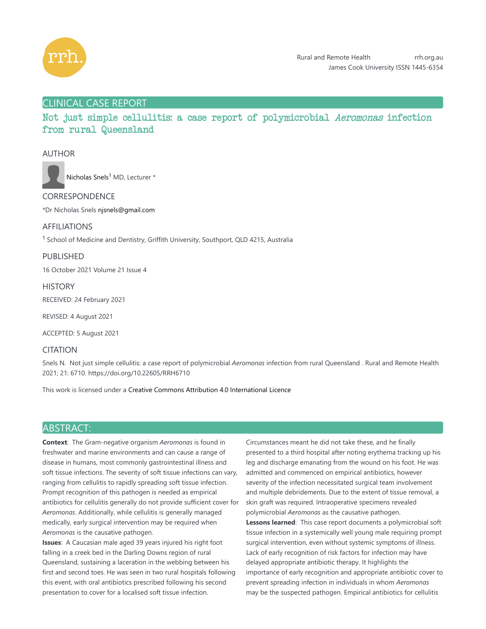

# CLINICAL CASE REPORT

Not just simple cellulitis: a case report of polymicrobial Aeromonas infection from rural Queensland

### AUTHOR



Nicholas Snels<sup>1</sup> MD, Lecturer \*

### CORRESPONDENCE

\*Dr Nicholas Snels njsnels@gmail.com

### AFFILIATIONS

<sup>1</sup> School of Medicine and Dentistry, Griffith University, Southport, QLD 4215, Australia

# PUBLISHED

16 October 2021 Volume 21 Issue 4

**HISTORY** RECEIVED: 24 February 2021

REVISED: 4 August 2021

ACCEPTED: 5 August 2021

### CITATION

Snels N. Not just simple cellulitis: a case report of polymicrobial *Aeromonas* infection from rural Queensland . Rural and Remote Health 2021; 21: 6710. https://doi.org/10.22605/RRH6710

This work is licensed under a Creative Commons Attribution 4.0 International Licence

# ABSTRACT:

**Context**:The Gram-negative organism *Aeromonas* is found in freshwater and marine environments and can cause a range of disease in humans, most commonly gastrointestinal illness and soft tissue infections. The severity of soft tissue infections can vary, ranging from cellulitis to rapidly spreading soft tissue infection. Prompt recognition of this pathogen is needed as empirical antibiotics for cellulitis generally do not provide sufficient cover for *Aeromonas*. Additionally, while cellulitis is generally managed medically, early surgical intervention may be required when *Aeromonas* is the causative pathogen.

**Issues**: A Caucasian male aged 39 years injured his right foot falling in a creek bed in the Darling Downs region of rural Queensland, sustaining a laceration in the webbing between his first and second toes. He was seen in two rural hospitals following this event, with oral antibiotics prescribed following his second presentation to cover for a localised soft tissue infection.

Circumstances meant he did not take these, and he finally presented to a third hospital after noting erythema tracking up his leg and discharge emanating from the wound on his foot. He was admitted and commenced on empirical antibiotics, however severity of the infection necessitated surgical team involvement and multiple debridements. Due to the extent of tissue removal, a skin graft was required. Intraoperative specimens revealed polymicrobial *Aeromonas* as the causative pathogen. **Lessons learned**:This case report documents a polymicrobial soft tissue infection in a systemically well young male requiring prompt surgical intervention, even without systemic symptoms of illness. Lack of early recognition of risk factors for infection may have delayed appropriate antibiotic therapy. It highlights the importance of early recognition and appropriate antibiotic cover to prevent spreading infection in individuals in whom *Aeromonas* may be the suspected pathogen. Empirical antibiotics for cellulitis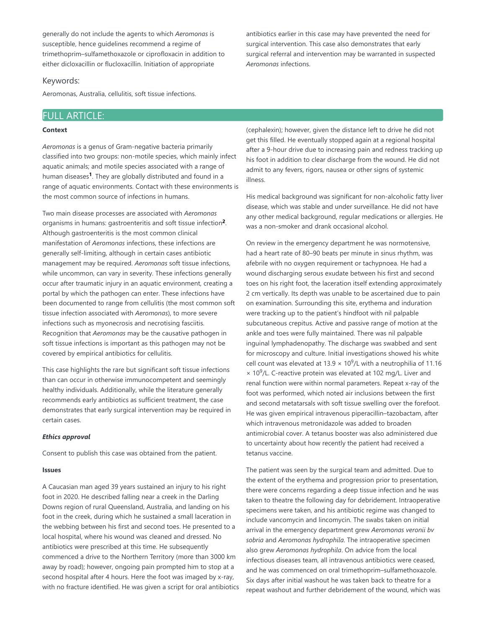generally do not include the agents to which *Aeromonas* is susceptible, hence guidelines recommend a regime of trimethoprim–sulfamethoxazole or ciprofloxacin in addition to either dicloxacillin or flucloxacillin. Initiation of appropriate

#### Keywords:

Aeromonas, Australia, cellulitis, soft tissue infections.

### FULL ARTICLE:

#### **Context**

*Aeromonas* is a genus of Gram-negative bacteria primarily classified into two groups: non-motile species, which mainly infect aquatic animals; and motile species associated with a range of human diseases<sup>1</sup>. They are globally distributed and found in a range of aquatic environments. Contact with these environments is the most common source of infections in humans.

Two main disease processes are associated with *Aeromonas* organisms in humans: gastroenteritis and soft tissue infection<sup>2</sup>. Although gastroenteritis is the most common clinical manifestation of *Aeromonas* infections, these infections are generally self-limiting, although in certain cases antibiotic management may be required. *Aeromonas* soft tissue infections, while uncommon, can vary in severity. These infections generally occur after traumatic injury in an aquatic environment, creating a portal by which the pathogen can enter. These infections have been documented to range from cellulitis (the most common soft tissue infection associated with *Aeromonas*), to more severe infections such as myonecrosis and necrotising fasciitis. Recognition that *Aeromonas* may be the causative pathogen in soft tissue infections is important as this pathogen may not be covered by empirical antibiotics for cellulitis.

This case highlights the rare but significant soft tissue infections than can occur in otherwise immunocompetent and seemingly healthy individuals. Additionally, while the literature generally recommends early antibiotics as sufficient treatment, the case demonstrates that early surgical intervention may be required in certain cases.

#### *Ethics approval*

Consent to publish this case was obtained from the patient.

#### **Issues**

A Caucasian man aged 39 years sustained an injury to his right foot in 2020. He described falling near a creek in the Darling Downs region of rural Queensland, Australia, and landing on his foot in the creek, during which he sustained a small laceration in the webbing between his first and second toes. He presented to a local hospital, where his wound was cleaned and dressed. No antibiotics were prescribed at this time. He subsequently commenced a drive to the Northern Territory (more than 3000 km away by road); however, ongoing pain prompted him to stop at a second hospital after 4 hours. Here the foot was imaged by x-ray, with no fracture identified. He was given a script for oral antibiotics (cephalexin); however, given the distance left to drive he did not get this filled. He eventually stopped again at a regional hospital after a 9-hour drive due to increasing pain and redness tracking up his foot in addition to clear discharge from the wound. He did not admit to any fevers, rigors, nausea or other signs of systemic illness.

antibiotics earlier in this case may have prevented the need for surgical intervention. This case also demonstrates that early surgical referral and intervention may be warranted in suspected

*Aeromonas* infections.

His medical background was significant for non-alcoholic fatty liver disease, which was stable and under surveillance. He did not have any other medical background, regular medications or allergies. He was a non-smoker and drank occasional alcohol.

On review in the emergency department he was normotensive, had a heart rate of 80–90 beats per minute in sinus rhythm, was afebrile with no oxygen requirement or tachypnoea. He had a wound discharging serous exudate between his first and second toes on his right foot, the laceration itself extending approximately 2 cm vertically. Its depth was unable to be ascertained due to pain on examination. Surrounding this site, erythema and induration were tracking up to the patient's hindfoot with nil palpable subcutaneous crepitus. Active and passive range of motion at the ankle and toes were fully maintained. There was nil palpable inguinal lymphadenopathy. The discharge was swabbed and sent for microscopy and culture. Initial investigations showed his white cell count was elevated at 13.9  $\times$  10<sup>9</sup>/L with a neutrophilia of 11.16  $\times$  10<sup>9</sup>/L. C-reactive protein was elevated at 102 mg/L. Liver and renal function were within normal parameters. Repeat x-ray of the foot was performed, which noted air inclusions between the first and second metatarsals with soft tissue swelling over the forefoot. He was given empirical intravenous piperacillin–tazobactam, after which intravenous metronidazole was added to broaden antimicrobial cover. A tetanus booster was also administered due to uncertainty about how recently the patient had received a tetanus vaccine.

The patient was seen by the surgical team and admitted. Due to the extent of the erythema and progression prior to presentation, there were concerns regarding a deep tissue infection and he was taken to theatre the following day for debridement. Intraoperative specimens were taken, and his antibiotic regime was changed to include vancomycin and lincomycin. The swabs taken on initial arrival in the emergency department grew *Aeromonas veronii bv sobria* and *Aeromonas hydrophila*. The intraoperative specimen also grew *Aeromonas hydrophila*. On advice from the local infectious diseases team, all intravenous antibiotics were ceased, and he was commenced on oral trimethoprim–sulfamethoxazole. Six days after initial washout he was taken back to theatre for a repeat washout and further debridement of the wound, which was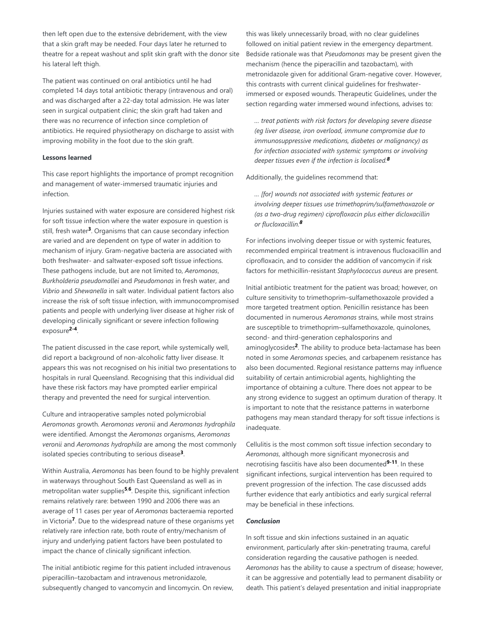then left open due to the extensive debridement, with the view that a skin graft may be needed. Four days later he returned to theatre for a repeat washout and split skin graft with the donor site his lateral left thigh.

The patient was continued on oral antibiotics until he had completed 14 days total antibiotic therapy (intravenous and oral) and was discharged after a 22-day total admission. He was later seen in surgical outpatient clinic; the skin graft had taken and there was no recurrence of infection since completion of antibiotics. He required physiotherapy on discharge to assist with improving mobility in the foot due to the skin graft.

#### **Lessons learned**

This case report highlights the importance of prompt recognition and management of water-immersed traumatic injuries and infection.

Injuries sustained with water exposure are considered highest risk for soft tissue infection where the water exposure in question is still, fresh water<sup>3</sup>. Organisms that can cause secondary infection are varied and are dependent on type of water in addition to mechanism of injury. Gram-negative bacteria are associated with both freshwater- and saltwater-exposed soft tissue infections. These pathogens include, but are not limited to, *Aeromonas*, *Burkholderia pseudomallei* and *Pseudomonas* in fresh water, and *Vibrio* and *Shewanella* in salt water. Individual patient factors also increase the risk of soft tissue infection, with immunocompromised patients and people with underlying liver disease at higher risk of developing clinically significant or severe infection following exposure<sup>2-4</sup>.

The patient discussed in the case report, while systemically well, did report a background of non-alcoholic fatty liver disease. It appears this was not recognised on his initial two presentations to hospitals in rural Queensland. Recognising that this individual did have these risk factors may have prompted earlier empirical therapy and prevented the need for surgical intervention.

Culture and intraoperative samples noted polymicrobial *Aeromonas* growth. *Aeromonas veronii* and *Aeromonas hydrophila* were identified. Amongst the *Aeromonas* organisms, *Aeromonas veronii* and *Aeromonas hydrophila* are among the most commonly isolated species contributing to serious disease<sup>3</sup>.

Within Australia, *Aeromonas* has been found to be highly prevalent in waterways throughout South East Queensland as well as in metropolitan water supplies<sup>5,6</sup>. Despite this, significant infection remains relatively rare: between 1990 and 2006 there was an average of 11 cases per year of *Aeromonas* bacteraemia reported in Victoria<sup>7</sup>. Due to the widespread nature of these organisms yet relatively rare infection rate, both route of entry/mechanism of injury and underlying patient factors have been postulated to impact the chance of clinically significant infection.

The initial antibiotic regime for this patient included intravenous piperacillin–tazobactam and intravenous metronidazole, subsequently changed to vancomycin and lincomycin. On review, this was likely unnecessarily broad, with no clear guidelines followed on initial patient review in the emergency department. Bedside rationale was that *Pseudomonas* may be present given the mechanism (hence the piperacillin and tazobactam), with metronidazole given for additional Gram-negative cover. However, this contrasts with current clinical guidelines for freshwaterimmersed or exposed wounds. Therapeutic Guidelines, under the section regarding water immersed wound infections, advises to:

*… treat patients with risk factors for developing severe disease (eg liver disease, iron overload, immune compromise due to immunosuppressive medications, diabetes or malignancy) as for infection associated with systemic symptoms or involving deeper tissues even if the infection is localised. 8*

Additionally, the guidelines recommend that:

*… [for] wounds not associated with systemic features or involving deeper tissues use trimethoprim/sulfamethoxazole or (as a two-drug regimen) ciprofloxacin plus either dicloxacillin or flucloxacillin. 8*

For infections involving deeper tissue or with systemic features, recommended empirical treatment is intravenous flucloxacillin and ciprofloxacin, and to consider the addition of vancomycin if risk factors for methicillin-resistant *Staphylococcus aureus* are present.

Initial antibiotic treatment for the patient was broad; however, on culture sensitivity to trimethoprim–sulfamethoxazole provided a more targeted treatment option. Penicillin resistance has been documented in numerous *Aeromonas* strains, while most strains are susceptible to trimethoprim–sulfamethoxazole, quinolones, second- and third-generation cephalosporins and aminoglycosides<sup>2</sup>. The ability to produce beta-lactamase has been noted in some *Aeromonas* species, and carbapenem resistance has also been documented. Regional resistance patterns may influence suitability of certain antimicrobial agents, highlighting the importance of obtaining a culture. There does not appear to be any strong evidence to suggest an optimum duration of therapy. It is important to note that the resistance patterns in waterborne pathogens may mean standard therapy for soft tissue infections is inadequate.

Cellulitis is the most common soft tissue infection secondary to *Aeromonas*, although more significant myonecrosis and necrotising fasciitis have also been documented<sup>9-11</sup>. In these significant infections, surgical intervention has been required to prevent progression of the infection. The case discussed adds further evidence that early antibiotics and early surgical referral may be beneficial in these infections.

#### *Conclusion*

In soft tissue and skin infections sustained in an aquatic environment, particularly after skin-penetrating trauma, careful consideration regarding the causative pathogen is needed. *Aeromonas* has the ability to cause a spectrum of disease; however, it can be aggressive and potentially lead to permanent disability or death. This patient's delayed presentation and initial inappropriate